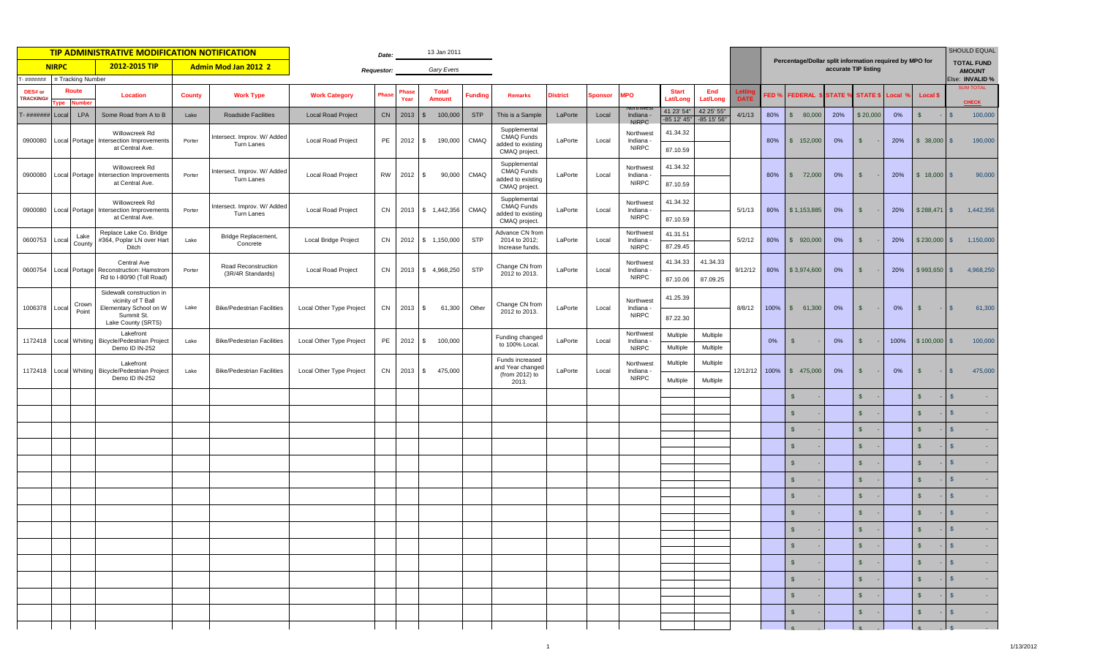| <b>TIP ADMINISTRATIVE MODIFICATION NOTIFICATION</b>           |                               |                                                                                                              |               |                                           |                           | Date:                       |              | 13 Jan 2011                   |                |                                                                  |                 |                |                                        |                                                                                 |                           |             |     |                          |                                                       |                |       |               | SHOULD EQUAL                     |
|---------------------------------------------------------------|-------------------------------|--------------------------------------------------------------------------------------------------------------|---------------|-------------------------------------------|---------------------------|-----------------------------|--------------|-------------------------------|----------------|------------------------------------------------------------------|-----------------|----------------|----------------------------------------|---------------------------------------------------------------------------------|---------------------------|-------------|-----|--------------------------|-------------------------------------------------------|----------------|-------|---------------|----------------------------------|
| <b>NIRPC</b><br>2012-2015 TIP<br>= Tracking Number<br>####### |                               | Admin Mod Jan 2012 2                                                                                         |               |                                           | <b>Requestor:</b>         | Gary Evers                  |              |                               |                |                                                                  |                 |                |                                        | Percentage/Dollar split information required by MPO for<br>accurate TIP listing |                           |             |     |                          | <b>TOTAL FUND</b><br><b>AMOUNT</b><br>Else: INVALID % |                |       |               |                                  |
| DES# or<br><b>TRACKING#</b>                                   | <b>Route</b><br><b>Number</b> | Location                                                                                                     | <b>County</b> | <b>Work Type</b>                          | <b>Work Category</b>      | has                         | Phas<br>Year | <b>Total</b><br><b>Amount</b> | <b>Funding</b> | <b>Remarks</b>                                                   | <b>District</b> | <b>Sponsor</b> | <b>MPO</b>                             | <b>Start</b><br>Lat/Long                                                        | End<br>Lat/Long           | <b>DATE</b> | ED' | <b>FEDERAL</b>           | <b>STATE</b>                                          | STATE \$       | Local | Local \$      | <b>SUM TOTAL</b><br><b>CHECK</b> |
| T-#######<br>Local                                            | LPA                           | Some Road from A to B                                                                                        | Lake          | Roadside Facilities                       | <b>Local Road Project</b> |                             | CN 2013      | 100,000<br>$\mathbb{S}$       | <b>STP</b>     | This is a Sample                                                 | LaPorte         | Local          | Indiana<br>NIRPC                       | 41 23' 54'<br>-85 12' 45"                                                       | 42 25' 55"<br>-85 15' 56' | 4/1/13      | 80% | 80,000<br>$\mathsf{\$}$  | 20%                                                   | \$20,000       | 0%    | $\mathsf{\$}$ | 100,000<br>$\mathbf{s}$          |
| 0900080<br>Local                                              |                               | Willowcreek Rd<br>Portage Intersection Improvements<br>at Central Ave.                                       | Porter        | Intersect. Improv. W/ Added<br>Turn Lanes | Local Road Project        | PE                          | 2012         | $\mathbf{s}$<br>190,000       | CMAQ           | Supplemental<br>CMAQ Funds<br>added to existing<br>CMAQ project. | LaPorte         | Local          | Northwest<br>Indiana<br><b>NIRPC</b>   | 41.34.32<br>87.10.59                                                            |                           |             | 80% | 152,000<br>\$            | 0%                                                    | \$             | 20%   | \$38,000      | 190,000<br>- SS                  |
| 0900080<br>Local                                              |                               | Willowcreek Rd<br>Portage Intersection Improvements<br>at Central Ave.                                       | Porter        | Intersect. Improv. W/ Added<br>Turn Lanes | Local Road Project        | RW                          | 2012         | <b>S</b><br>90,000            | CMAQ           | Supplemental<br>CMAQ Funds<br>added to existing<br>CMAQ project. | LaPorte         | Local          | Northwest<br>Indiana<br><b>NIRPC</b>   | 41.34.32<br>87.10.59                                                            |                           |             | 80% | $\sqrt{3}$<br>72,000     | 0%                                                    | \$             | 20%   | $$18,000$ \$  | 90,000                           |
| 0900080<br>Local                                              |                               | Willowcreek Rd<br>Portage Intersection Improvements<br>at Central Ave.                                       | Porter        | Intersect. Improv. W/ Added<br>Turn Lanes | Local Road Project        | CN                          |              | 2013 \$ 1,442,356             | CMAQ           | Supplemental<br>CMAQ Funds<br>added to existing<br>CMAQ project. | LaPorte         | Local          | Northwest<br>Indiana<br><b>NIRPC</b>   | 41.34.32<br>87.10.59                                                            |                           | 5/1/13      | 80% | \$1,153,885              | 0%                                                    | \$             | 20%   | \$288,471     | 1,442,356<br>$\mathbb{S}$        |
| 0600753<br>Local                                              | Lake<br>County                | Replace Lake Co. Bridge<br>#364, Poplar LN over Hart<br>Ditch                                                | Lake          | Bridge Replacement,<br>Concrete           | Local Bridge Project      | CN                          |              | 2012 \$ 1,150,000             | STP            | Advance CN from<br>2014 to 2012;<br>Increase funds.              | LaPorte         | Local          | Northwest<br>Indiana<br><b>NIRPC</b>   | 41.31.51<br>87.29.45                                                            |                           | 5/2/12      | 80% | \$920,000                | 0%                                                    | $\sqrt{3}$     | 20%   | $$230,000$ \$ | 1,150,000                        |
| 0600754                                                       |                               | Central Ave<br>Local Portage Reconstruction: Hamstrom<br>Rd to I-80/90 (Toll Road)                           | Porter        | Road Reconstruction<br>(3R/4R Standards)  | <b>Local Road Project</b> | CN                          |              | 2013 \$4,968,250              | <b>STP</b>     | Change CN from<br>2012 to 2013.                                  | LaPorte         | Local          | Northwest<br>Indiana<br><b>NIRPC</b>   | 41.34.33<br>87.10.06                                                            | 41.34.33<br>87.09.25      | 9/12/12     | 80% | \$3,974,600              | 0%                                                    | \$             | 20%   | \$993,650     | 4,968,250                        |
| 1006378<br>Local                                              | Crown                         | Sidewalk construction in<br>vicinity of T Ball<br>Elementary School on W<br>Summit St.<br>Lake County (SRTS) |               |                                           |                           | Northwest<br>Change CN from | 41.25.39     |                               |                |                                                                  |                 |                |                                        |                                                                                 |                           |             |     |                          |                                                       |                |       |               |                                  |
|                                                               | Point                         |                                                                                                              | Lake          | <b>Bike/Pedestrian Facilities</b>         | Local Other Type Project  | CN                          | 2013         | $\mathbb{S}$<br>61,300        | Other          | 2012 to 2013.                                                    | LaPorte         | Local          | Indiana<br><b>NIRPC</b>                | 87.22.30                                                                        |                           | 8/8/12      |     | 100% \$ 61,300           | 0%                                                    | \$             | 0%    | $\mathsf{\$}$ | 61,300<br>$\mathbb{S}$           |
| 1172418<br>Local                                              |                               | Lakefront<br>Whiting Bicycle/Pedestrian Project<br>Demo ID IN-252                                            | Lake          | <b>Bike/Pedestrian Facilities</b>         | Local Other Type Project  | PE                          | 2012         | \$<br>100,000                 |                | Funding changed<br>to 100% Local.                                | LaPorte         | Local          | Northwest<br>Indiana<br><b>NIRPC</b>   | Multiple<br>Multiple                                                            | Multiple<br>Multiple      |             | 0%  | \$S                      | 0%                                                    | $\mathbb{S}$   | 100%  | \$100,000     | 100,000<br><b>S</b>              |
| 1172418                                                       |                               | Lakefront<br>Local Whiting Bicycle/Pedestrian Project<br>Demo ID IN-252                                      | Lake          | <b>Bike/Pedestrian Facilities</b>         | Local Other Type Project  | CN                          | 2013         | $\mathbb{S}$<br>475,000       |                | Funds increased<br>and Year changed<br>(from 2012) to<br>2013.   | LaPorte         | Local          | Northwest<br>Indiana -<br><b>NIRPC</b> | Multiple<br>Multiple                                                            | Multiple<br>Multiple      |             |     | 12/12/12 100% \$ 475,000 | 0%                                                    | \$             | 0%    | $\mathsf{s}$  | 475,000<br>$\mathbb{S}$          |
|                                                               |                               |                                                                                                              |               |                                           |                           |                             |              |                               |                |                                                                  |                 |                |                                        |                                                                                 |                           |             |     | $\mathbf{s}$             |                                                       | $\mathfrak{s}$ |       | $\mathsf{s}$  | $\mathbf{s}$                     |
|                                                               |                               |                                                                                                              |               |                                           |                           |                             |              |                               |                |                                                                  |                 |                |                                        |                                                                                 |                           |             |     | $\mathsf{\$}$            |                                                       | $\mathbb{S}$   |       | $\mathsf{s}$  | $\mathbf{s}$                     |
|                                                               |                               |                                                                                                              |               |                                           |                           |                             |              |                               |                |                                                                  |                 |                |                                        |                                                                                 |                           |             |     | $\mathbb{S}$             |                                                       | $\mathsf{\$}$  |       | $\mathbf{s}$  | $\mathbf{s}$                     |
|                                                               |                               |                                                                                                              |               |                                           |                           |                             |              |                               |                |                                                                  |                 |                |                                        |                                                                                 |                           |             |     | $\mathbb{S}$             |                                                       | $\mathbb{S}$   |       | $\mathbb{S}$  | $\mathbf{s}$                     |
|                                                               |                               |                                                                                                              |               |                                           |                           |                             |              |                               |                |                                                                  |                 |                |                                        |                                                                                 |                           |             |     | \$                       |                                                       | $\mathfrak{s}$ |       | $\mathbf{s}$  | $\mathbf{s}$                     |
|                                                               |                               |                                                                                                              |               |                                           |                           |                             |              |                               |                |                                                                  |                 |                |                                        |                                                                                 |                           |             |     | $\mathbb{S}$             |                                                       | $\mathbb{S}$   |       | $\mathbf{s}$  | $\mathbf{s}$                     |
|                                                               |                               |                                                                                                              |               |                                           |                           |                             |              |                               |                |                                                                  |                 |                |                                        |                                                                                 |                           |             |     | $\mathbb{S}$             |                                                       | $\mathfrak{s}$ |       | $\mathbf{s}$  | $\mathbf{s}$                     |
|                                                               |                               |                                                                                                              |               |                                           |                           |                             |              |                               |                |                                                                  |                 |                |                                        |                                                                                 |                           |             |     | $\mathbf{s}$             |                                                       | $\mathfrak{L}$ |       | $\mathbf{s}$  | $\mathbf{s}$                     |
|                                                               |                               |                                                                                                              |               |                                           |                           |                             |              |                               |                |                                                                  |                 |                |                                        |                                                                                 |                           |             |     | $\mathbf{s}$             |                                                       | $\mathbf{s}$   |       | $\mathbf{s}$  | $\mathbf{s}$                     |
|                                                               |                               |                                                                                                              |               |                                           |                           |                             |              |                               |                |                                                                  |                 |                |                                        |                                                                                 |                           |             |     | $\sqrt{2}$               |                                                       | $\mathsf{S}$   |       | $\mathbf{s}$  | $\mathbf{s}$                     |
|                                                               |                               |                                                                                                              |               |                                           |                           |                             |              |                               |                |                                                                  |                 |                |                                        |                                                                                 |                           |             |     | $\sqrt{2}$               |                                                       | $\sqrt{5}$     |       | $\mathsf{s}$  | S                                |
|                                                               |                               |                                                                                                              |               |                                           |                           |                             |              |                               |                |                                                                  |                 |                |                                        |                                                                                 |                           |             |     | $\sqrt{2}$               |                                                       | $\mathcal{S}$  |       | $\sqrt{5}$    | $\mathsf{S}$                     |
|                                                               |                               |                                                                                                              |               |                                           |                           |                             |              |                               |                |                                                                  |                 |                |                                        |                                                                                 |                           |             |     | $\sqrt{2}$               |                                                       | $\sqrt{2}$     |       | $\mathsf{s}$  | S                                |
|                                                               |                               |                                                                                                              |               |                                           |                           |                             |              |                               |                |                                                                  |                 |                |                                        |                                                                                 |                           |             |     | $\sqrt{2}$               |                                                       | $\sqrt{2}$     |       | $\sqrt{2}$    | $\mathcal{S}$                    |
|                                                               |                               |                                                                                                              |               |                                           |                           |                             |              |                               |                |                                                                  |                 |                |                                        |                                                                                 |                           |             |     |                          |                                                       |                |       |               |                                  |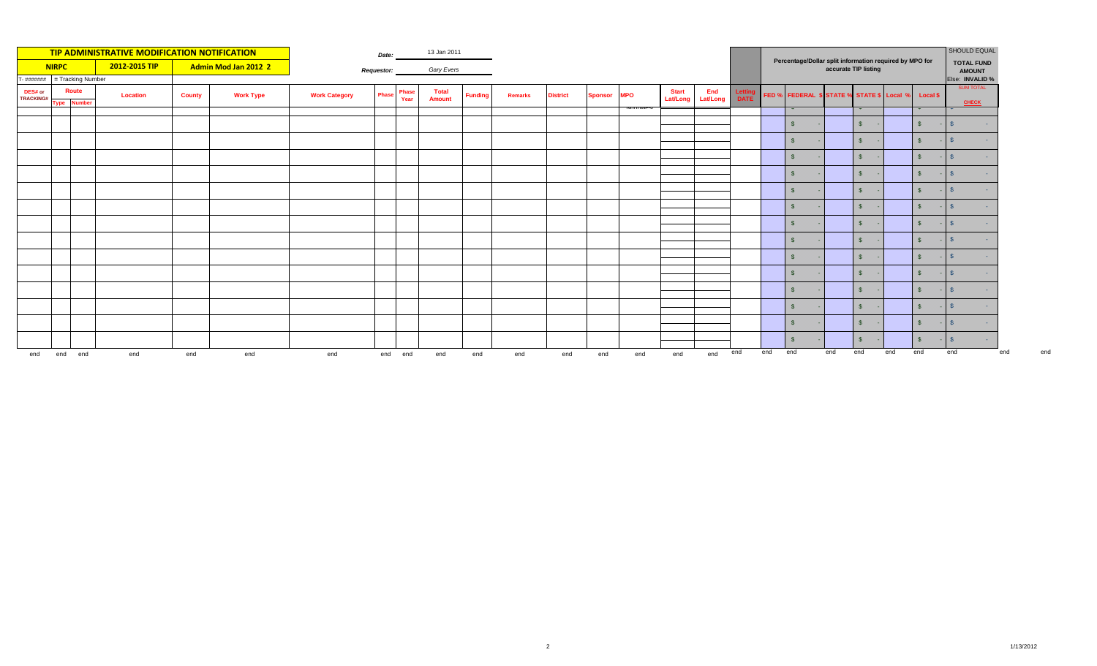| TIP ADMINISTRATIVE MODIFICATION NOTIFICATION |            |                      |          | 13 Jan 2011<br>Date: |                  |                      |       |               |                               |                |                |                 |                |            |                          |                                                         |             | SHOULD EQUAL         |                                                    |                                    |               |     |              |                          |     |
|----------------------------------------------|------------|----------------------|----------|----------------------|------------------|----------------------|-------|---------------|-------------------------------|----------------|----------------|-----------------|----------------|------------|--------------------------|---------------------------------------------------------|-------------|----------------------|----------------------------------------------------|------------------------------------|---------------|-----|--------------|--------------------------|-----|
| 2012-2015 TIP<br><b>NIRPC</b>                |            | Admin Mod Jan 2012 2 |          | <b>Requestor:</b>    |                  | Gary Evers           |       |               |                               |                |                |                 |                |            |                          | Percentage/Dollar split information required by MPO for |             | accurate TIP listing |                                                    | <b>TOTAL FUND</b><br><b>AMOUNT</b> |               |     |              |                          |     |
| $T - \# \# \# \# \# \# \#$                   |            | = Tracking Number    |          |                      |                  |                      |       |               |                               |                |                |                 |                |            |                          |                                                         |             |                      |                                                    |                                    |               |     |              | Else: INVALID %          |     |
| DES# or<br><b>TRACKING#</b>                  |            | <b>Route</b>         | Location | <b>County</b>        | <b>Work Type</b> | <b>Work Category</b> | Phase | Phase<br>Year | <b>Total</b><br><b>Amount</b> | <b>Funding</b> | <b>Remarks</b> | <b>District</b> | <b>Sponsor</b> | <b>MPO</b> | <b>Start</b><br>Lat/Long | End<br>Lat/Long                                         | <b>DATE</b> |                      | FED % FEDERAL \$ STATE % STATE \$ Local % Local \$ |                                    |               |     |              | <b>SUM TOTAL</b>         |     |
|                                              | <b>vpe</b> | <b>Number</b>        |          |                      |                  |                      |       |               |                               |                |                |                 |                |            |                          |                                                         |             |                      | $\overline{\phantom{a}}$                           |                                    |               |     |              | <b>CHECK</b>             |     |
|                                              |            |                      |          |                      |                  |                      |       |               |                               |                |                |                 |                |            |                          |                                                         |             |                      |                                                    |                                    |               |     |              |                          |     |
|                                              |            |                      |          |                      |                  |                      |       |               |                               |                |                |                 |                |            |                          |                                                         |             |                      | $\mathbf{s}$                                       |                                    | $\mathsf{s}$  |     | S            | . .                      |     |
|                                              |            |                      |          |                      |                  |                      |       |               |                               |                |                |                 |                |            |                          |                                                         |             |                      | $\mathbf{s}$                                       |                                    | $\mathsf{s}$  |     | $\mathsf{s}$ | <b>COL</b>               |     |
|                                              |            |                      |          |                      |                  |                      |       |               |                               |                |                |                 |                |            |                          |                                                         |             |                      | $\mathbf{s}$                                       |                                    | $\mathsf{s}$  |     | S            | <b>Section</b>           |     |
|                                              |            |                      |          |                      |                  |                      |       |               |                               |                |                |                 |                |            |                          |                                                         |             |                      | $\mathbf{s}$                                       |                                    | $\sqrt{5}$    |     | $\mathbf{s}$ | <b>Section</b>           |     |
|                                              |            |                      |          |                      |                  |                      |       |               |                               |                |                |                 |                |            |                          |                                                         |             |                      | $\sqrt{3}$                                         |                                    | $\mathsf{\$}$ |     | S            | <b>Service</b>           |     |
|                                              |            |                      |          |                      |                  |                      |       |               |                               |                |                |                 |                |            |                          |                                                         |             |                      | $\mathbf{s}$                                       |                                    | $\sqrt{5}$    |     | S            | <b>Service</b>           |     |
|                                              |            |                      |          |                      |                  |                      |       |               |                               |                |                |                 |                |            |                          |                                                         |             |                      | $\sqrt{3}$                                         |                                    | $\mathsf{s}$  |     | S            | <b>Section</b>           |     |
|                                              |            |                      |          |                      |                  |                      |       |               |                               |                |                |                 |                |            |                          |                                                         |             |                      | $\mathbf{s}$                                       |                                    | $\mathsf{s}$  |     | $\mathsf{s}$ | <b>Section</b>           |     |
|                                              |            |                      |          |                      |                  |                      |       |               |                               |                |                |                 |                |            |                          |                                                         |             |                      | - \$                                               |                                    | $\mathsf{s}$  |     | $\mathbf{s}$ | <b>Section</b>           |     |
|                                              |            |                      |          |                      |                  |                      |       |               |                               |                |                |                 |                |            |                          |                                                         |             |                      | - \$                                               |                                    | $\mathbb{S}$  |     | $\mathbf{s}$ | <b>Section</b>           |     |
|                                              |            |                      |          |                      |                  |                      |       |               |                               |                |                |                 |                |            |                          |                                                         |             |                      | \$                                                 |                                    | $\sqrt{5}$    |     | $\mathbf{s}$ | <b>Section</b>           |     |
|                                              |            |                      |          |                      |                  |                      |       |               |                               |                |                |                 |                |            |                          |                                                         |             |                      | $\mathbf{s}$                                       |                                    | $\mathbb{S}$  |     | $\mathbf{s}$ | $-1$ S<br><b>Section</b> |     |
|                                              |            |                      |          |                      |                  |                      |       |               |                               |                |                |                 |                |            |                          |                                                         |             |                      | $\mathbf{\$}$                                      |                                    | $\sqrt{5}$    |     | S            | $-1s$                    |     |
|                                              |            |                      |          |                      |                  |                      |       |               |                               |                |                |                 |                |            |                          |                                                         |             |                      | $\mathbf{s}$                                       |                                    | $\mathsf{s}$  |     | S            | $-1s$<br><b>Section</b>  |     |
| end                                          | end        | end                  | end      | end                  | end              | end                  | end   | end           | end                           | end            | end            | end             | end            | end        | end                      | end                                                     | end         | end                  | end                                                | end                                | end           | end | end          | end                      | end |